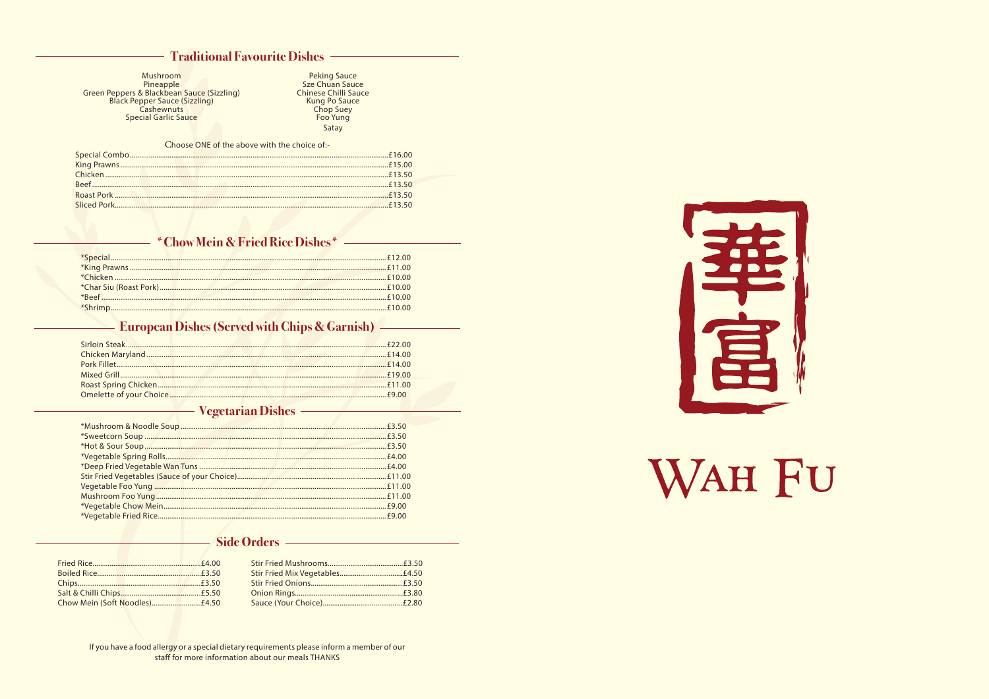#### **Traditional Favourite Dishes**

Mushroom Pineapple Green Peppers & Blackbean Sauce (Sizzling)<br>Black Pepper Sauce (Sizzling)<br>Cashewnuts **Special Garlic Sauce** 

Peking Sauce<br>Sze Chuan Sauce<br>Chinese Chilli Sauce Kung Po Sauce<br>Chop Suey Foo Yung Satay

#### Choose ONE of the above with the choice of:-

|  | <b>Example 10 You Set The Wein &amp; Fried Rice Dishes *</b> |
|--|--------------------------------------------------------------|
|  |                                                              |
|  |                                                              |
|  |                                                              |
|  |                                                              |
|  |                                                              |
|  |                                                              |
|  |                                                              |

#### **European Dishes (Served with Chips & Garnish)**

#### **Vegetarian Dishes**

#### **Side Orders**

If you have a food allergy or a special dietary requirements please inform a member of our staff for more information about our meals THANKS



# WAH FU